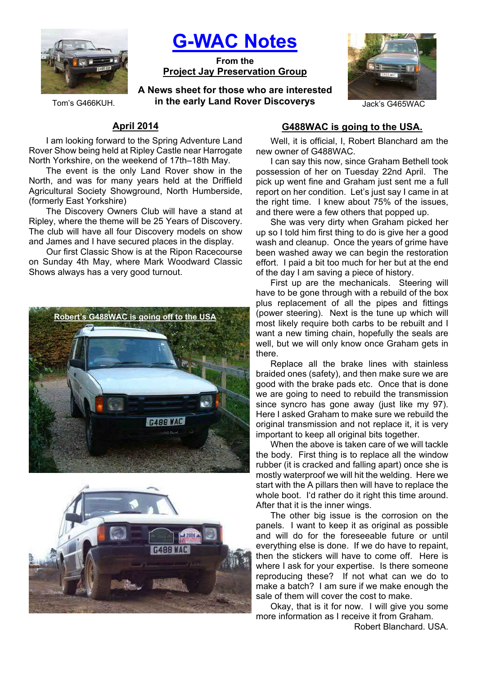

**G-WAC Notes**

**From the Project Jay Preservation Group**

Tom's G466KUH. *in the early Land Rover Discoverys Jack's G465WAC* **A News sheet for those who are interested** 



# **April 2014**

I am looking forward to the Spring Adventure Land Rover Show being held at Ripley Castle near Harrogate North Yorkshire, on the weekend of 17th–18th May.

The event is the only Land Rover show in the North, and was for many years held at the Driffield Agricultural Society Showground, North Humberside, (formerly East Yorkshire)

The Discovery Owners Club will have a stand at Ripley, where the theme will be 25 Years of Discovery. The club will have all four Discovery models on show and James and I have secured places in the display.

Our first Classic Show is at the Ripon Racecourse on Sunday 4th May, where Mark Woodward Classic Shows always has a very good turnout.





# **G488WAC is going to the USA.**

Well, it is official, I, Robert Blanchard am the new owner of G488WAC.

I can say this now, since Graham Bethell took possession of her on Tuesday 22nd April. The pick up went fine and Graham just sent me a full report on her condition. Let's just say I came in at the right time. I knew about 75% of the issues, and there were a few others that popped up.

She was very dirty when Graham picked her up so I told him first thing to do is give her a good wash and cleanup. Once the years of grime have been washed away we can begin the restoration effort. I paid a bit too much for her but at the end of the day I am saving a piece of history.

First up are the mechanicals. Steering will have to be gone through with a rebuild of the box plus replacement of all the pipes and fittings (power steering). Next is the tune up which will most likely require both carbs to be rebuilt and I want a new timing chain, hopefully the seals are well, but we will only know once Graham gets in there.

Replace all the brake lines with stainless braided ones (safety), and then make sure we are good with the brake pads etc. Once that is done we are going to need to rebuild the transmission since syncro has gone away (just like my 97). Here I asked Graham to make sure we rebuild the original transmission and not replace it, it is very important to keep all original bits together.

When the above is taken care of we will tackle the body. First thing is to replace all the window rubber (it is cracked and falling apart) once she is mostly waterproof we will hit the welding. Here we start with the A pillars then will have to replace the whole boot. I'd rather do it right this time around. After that it is the inner wings.

The other big issue is the corrosion on the panels. I want to keep it as original as possible and will do for the foreseeable future or until everything else is done. If we do have to repaint, then the stickers will have to come off. Here is where I ask for your expertise. Is there someone reproducing these? If not what can we do to make a batch? I am sure if we make enough the sale of them will cover the cost to make.

Okay, that is it for now. I will give you some more information as I receive it from Graham.

Robert Blanchard. USA.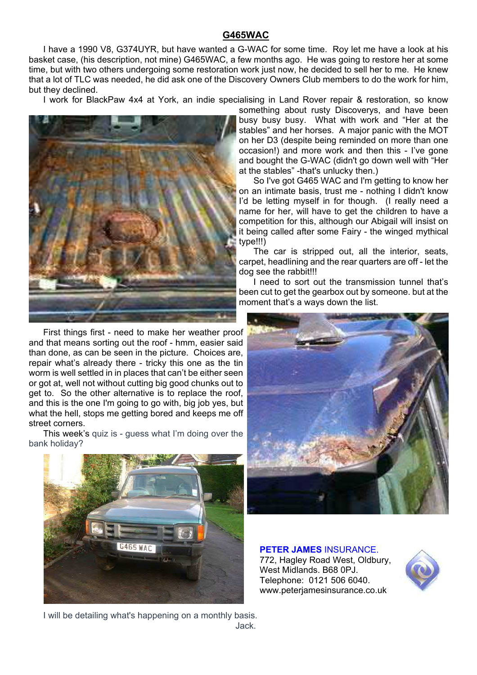## **G465WAC**

I have a 1990 V8, G374UYR, but have wanted a G-WAC for some time. Roy let me have a look at his basket case, (his description, not mine) G465WAC, a few months ago. He was going to restore her at some time, but with two others undergoing some restoration work just now, he decided to sell her to me. He knew that a lot of TLC was needed, he did ask one of the Discovery Owners Club members to do the work for him, but they declined.

I work for BlackPaw 4x4 at York, an indie specialising in Land Rover repair & restoration, so know



First things first - need to make her weather proof and that means sorting out the roof - hmm, easier said than done, as can be seen in the picture. Choices are, repair what's already there - tricky this one as the tin worm is well settled in in places that can't be either seen or got at, well not without cutting big good chunks out to get to. So the other alternative is to replace the roof, and this is the one I'm going to go with, big job yes, but what the hell, stops me getting bored and keeps me off street corners.

This week's quiz is - guess what I'm doing over the bank holiday?



something about rusty Discoverys, and have been busy busy busy. What with work and "Her at the stables" and her horses. A major panic with the MOT on her D3 (despite being reminded on more than one occasion!) and more work and then this - I've gone and bought the G-WAC (didn't go down well with "Her at the stables" -that's unlucky then.)

So I've got G465 WAC and I'm getting to know her on an intimate basis, trust me - nothing I didn't know I'd be letting myself in for though. (I really need a name for her, will have to get the children to have a competition for this, although our Abigail will insist on it being called after some Fairy - the winged mythical type!!!)

The car is stripped out, all the interior, seats, carpet, headlining and the rear quarters are off - let the dog see the rabbit!!!

I need to sort out the transmission tunnel that's been cut to get the gearbox out by someone. but at the moment that's a ways down the list.



**PETER JAMES** INSURANCE. 772, Hagley Road West, Oldbury, West Midlands. B68 0PJ. Telephone: 0121 506 6040. www.peterjamesinsurance.co.uk



I will be detailing what's happening on a monthly basis. Jack.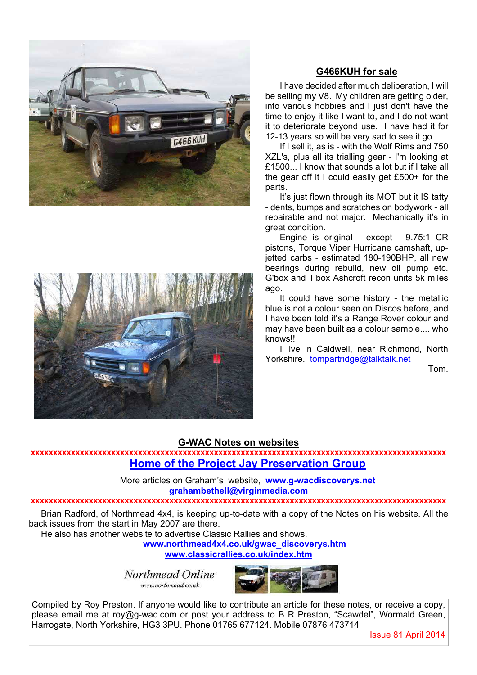

## **G466KUH for sale**

I have decided after much deliberation, I will be selling my V8. My children are getting older, into various hobbies and I just don't have the time to enjoy it like I want to, and I do not want it to deteriorate beyond use. I have had it for 12-13 years so will be very sad to see it go.

If I sell it, as is - with the Wolf Rims and 750 XZL's, plus all its trialling gear - I'm looking at £1500... I know that sounds a lot but if I take all the gear off it I could easily get £500+ for the parts.

It's just flown through its MOT but it IS tatty - dents, bumps and scratches on bodywork - all repairable and not major. Mechanically it's in great condition.

Engine is original - except - 9.75:1 CR pistons, Torque Viper Hurricane camshaft, upjetted carbs - estimated 180-190BHP, all new bearings during rebuild, new oil pump etc. G'box and T'box Ashcroft recon units 5k miles ago.

It could have some history - the metallic blue is not a colour seen on Discos before, and I have been told it's a Range Rover colour and may have been built as a colour sample.... who knows!!

I live in Caldwell, near Richmond, North Yorkshire. tompartridge@talktalk.net

Tom.

# **G-WAC Notes on websites**

**xxxxxxxxxxxxxxxxxxxxxxxxxxxxxxxxxxxxxxxxxxxxxxxxxxxxxxxxxxxxxxxxxxxxxxxxxxxxxxxxxxxxxxxxxxxxx Home of the Project Jay Preservation Group**

> More articles on Graham's website, **www.g-wacdiscoverys.net grahambethell@virginmedia.com**

### **xxxxxxxxxxxxxxxxxxxxxxxxxxxxxxxxxxxxxxxxxxxxxxxxxxxxxxxxxxxxxxxxxxxxxxxxxxxxxxxxxxxxxxxxxxxxx**

Brian Radford, of Northmead 4x4, is keeping up-to-date with a copy of the Notes on his website. All the back issues from the start in May 2007 are there.

He also has another website to advertise Classic Rallies and shows.

**www.northmead4x4.co.uk/gwac\_discoverys.htm www.classicrallies.co.uk/index.htm**

Northmead Online

www.northmead.co.uk



Compiled by Roy Preston. If anyone would like to contribute an article for these notes, or receive a copy, please email me at roy@g-wac.com or post your address to B R Preston, "Scawdel", Wormald Green, Harrogate, North Yorkshire, HG3 3PU. Phone 01765 677124. Mobile 07876 473714

Issue 81 April 2014